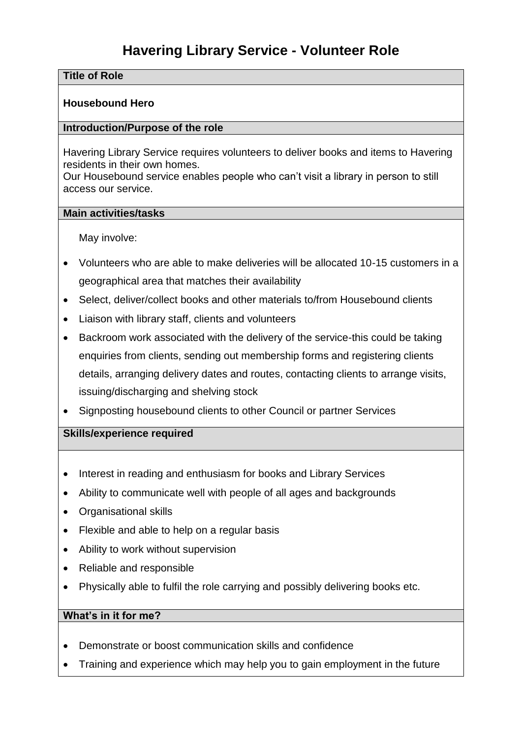## **Title of Role**

# **Housebound Hero**

## **Introduction/Purpose of the role**

Havering Library Service requires volunteers to deliver books and items to Havering residents in their own homes.

Our Housebound service enables people who can't visit a library in person to still access our service.

### **Main activities/tasks**

May involve:

- Volunteers who are able to make deliveries will be allocated 10-15 customers in a geographical area that matches their availability
- Select, deliver/collect books and other materials to/from Housebound clients
- Liaison with library staff, clients and volunteers
- Backroom work associated with the delivery of the service-this could be taking enquiries from clients, sending out membership forms and registering clients details, arranging delivery dates and routes, contacting clients to arrange visits, issuing/discharging and shelving stock
- Signposting housebound clients to other Council or partner Services

**Skills/experience required**

- Interest in reading and enthusiasm for books and Library Services
- Ability to communicate well with people of all ages and backgrounds
- Organisational skills
- Flexible and able to help on a regular basis
- Ability to work without supervision
- Reliable and responsible
- Physically able to fulfil the role carrying and possibly delivering books etc.

### **What's in it for me?**

- Demonstrate or boost communication skills and confidence
- Training and experience which may help you to gain employment in the future